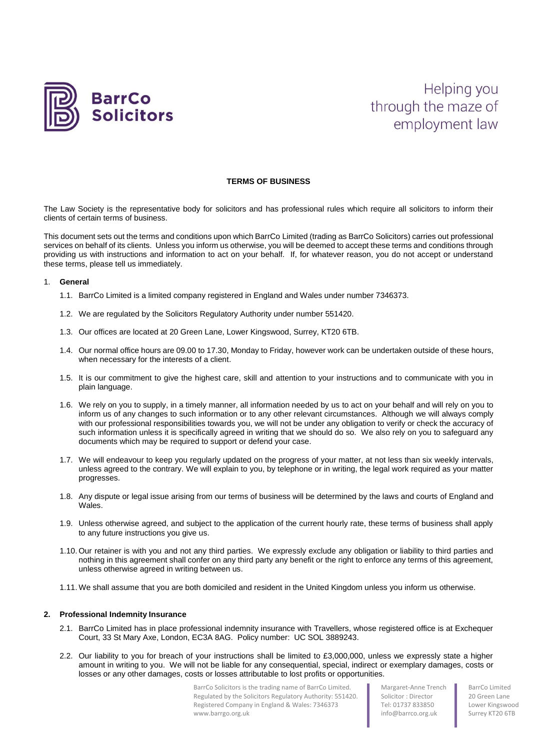

# Helping you through the maze of employment law

# **TERMS OF BUSINESS**

The Law Society is the representative body for solicitors and has professional rules which require all solicitors to inform their clients of certain terms of business.

This document sets out the terms and conditions upon which BarrCo Limited (trading as BarrCo Solicitors) carries out professional services on behalf of its clients. Unless you inform us otherwise, you will be deemed to accept these terms and conditions through providing us with instructions and information to act on your behalf. If, for whatever reason, you do not accept or understand these terms, please tell us immediately.

## 1. **General**

- 1.1. BarrCo Limited is a limited company registered in England and Wales under number 7346373.
- 1.2. We are regulated by the Solicitors Regulatory Authority under number 551420.
- 1.3. Our offices are located at 20 Green Lane, Lower Kingswood, Surrey, KT20 6TB.
- 1.4. Our normal office hours are 09.00 to 17.30, Monday to Friday, however work can be undertaken outside of these hours, when necessary for the interests of a client.
- 1.5. It is our commitment to give the highest care, skill and attention to your instructions and to communicate with you in plain language.
- 1.6. We rely on you to supply, in a timely manner, all information needed by us to act on your behalf and will rely on you to inform us of any changes to such information or to any other relevant circumstances. Although we will always comply with our professional responsibilities towards you, we will not be under any obligation to verify or check the accuracy of such information unless it is specifically agreed in writing that we should do so. We also rely on you to safeguard any documents which may be required to support or defend your case.
- 1.7. We will endeavour to keep you regularly updated on the progress of your matter, at not less than six weekly intervals, unless agreed to the contrary. We will explain to you, by telephone or in writing, the legal work required as your matter progresses.
- 1.8. Any dispute or legal issue arising from our terms of business will be determined by the laws and courts of England and Wales.
- 1.9. Unless otherwise agreed, and subject to the application of the current hourly rate, these terms of business shall apply to any future instructions you give us.
- 1.10. Our retainer is with you and not any third parties. We expressly exclude any obligation or liability to third parties and nothing in this agreement shall confer on any third party any benefit or the right to enforce any terms of this agreement, unless otherwise agreed in writing between us.
- 1.11. We shall assume that you are both domiciled and resident in the United Kingdom unless you inform us otherwise.

#### **2. Professional Indemnity Insurance**

- 2.1. BarrCo Limited has in place professional indemnity insurance with Travellers, whose registered office is at Exchequer Court, 33 St Mary Axe, London, EC3A 8AG. Policy number: UC SOL 3889243.
- 2.2. Our liability to you for breach of your instructions shall be limited to £3,000,000, unless we expressly state a higher amount in writing to you. We will not be liable for any consequential, special, indirect or exemplary damages, costs or losses or any other damages, costs or losses attributable to lost profits or opportunities.

BarrCo Solicitors is the trading name of BarrCo Limited. Regulated by the Solicitors Regulatory Authority: 551420. Registered Company in England & Wales: 7346373 www.barrgo.org.uk

Margaret-Anne Trench Solicitor : Director Tel: 01737 833850 info@barrco.org.uk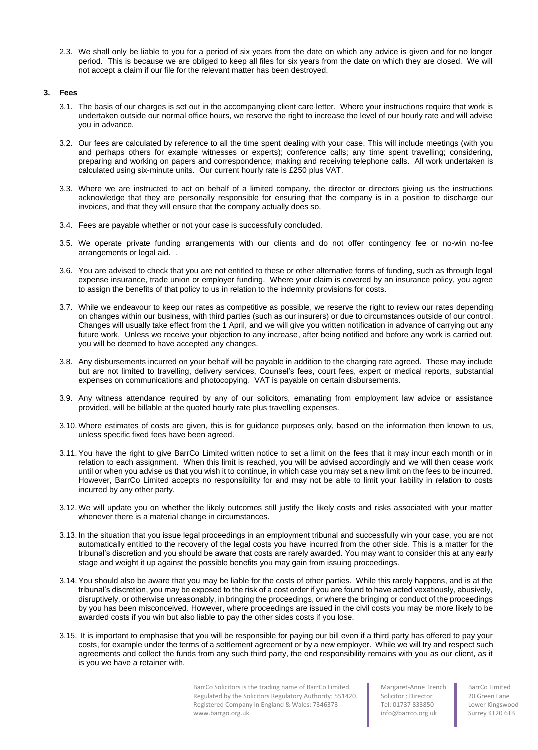2.3. We shall only be liable to you for a period of six years from the date on which any advice is given and for no longer period. This is because we are obliged to keep all files for six years from the date on which they are closed. We will not accept a claim if our file for the relevant matter has been destroyed.

# **3. Fees**

- 3.1. The basis of our charges is set out in the accompanying client care letter. Where your instructions require that work is undertaken outside our normal office hours, we reserve the right to increase the level of our hourly rate and will advise you in advance.
- 3.2. Our fees are calculated by reference to all the time spent dealing with your case. This will include meetings (with you and perhaps others for example witnesses or experts); conference calls; any time spent travelling; considering, preparing and working on papers and correspondence; making and receiving telephone calls. All work undertaken is calculated using six-minute units. Our current hourly rate is £250 plus VAT.
- 3.3. Where we are instructed to act on behalf of a limited company, the director or directors giving us the instructions acknowledge that they are personally responsible for ensuring that the company is in a position to discharge our invoices, and that they will ensure that the company actually does so.
- 3.4. Fees are payable whether or not your case is successfully concluded.
- 3.5. We operate private funding arrangements with our clients and do not offer contingency fee or no-win no-fee arrangements or legal aid. .
- 3.6. You are advised to check that you are not entitled to these or other alternative forms of funding, such as through legal expense insurance, trade union or employer funding. Where your claim is covered by an insurance policy, you agree to assign the benefits of that policy to us in relation to the indemnity provisions for costs.
- 3.7. While we endeavour to keep our rates as competitive as possible, we reserve the right to review our rates depending on changes within our business, with third parties (such as our insurers) or due to circumstances outside of our control. Changes will usually take effect from the 1 April, and we will give you written notification in advance of carrying out any future work. Unless we receive your objection to any increase, after being notified and before any work is carried out, you will be deemed to have accepted any changes.
- 3.8. Any disbursements incurred on your behalf will be payable in addition to the charging rate agreed. These may include but are not limited to travelling, delivery services, Counsel's fees, court fees, expert or medical reports, substantial expenses on communications and photocopying. VAT is payable on certain disbursements.
- 3.9. Any witness attendance required by any of our solicitors, emanating from employment law advice or assistance provided, will be billable at the quoted hourly rate plus travelling expenses.
- 3.10. Where estimates of costs are given, this is for guidance purposes only, based on the information then known to us, unless specific fixed fees have been agreed.
- 3.11.You have the right to give BarrCo Limited written notice to set a limit on the fees that it may incur each month or in relation to each assignment. When this limit is reached, you will be advised accordingly and we will then cease work until or when you advise us that you wish it to continue, in which case you may set a new limit on the fees to be incurred. However, BarrCo Limited accepts no responsibility for and may not be able to limit your liability in relation to costs incurred by any other party.
- 3.12. We will update you on whether the likely outcomes still justify the likely costs and risks associated with your matter whenever there is a material change in circumstances.
- 3.13. In the situation that you issue legal proceedings in an employment tribunal and successfully win your case, you are not automatically entitled to the recovery of the legal costs you have incurred from the other side. This is a matter for the tribunal's discretion and you should be aware that costs are rarely awarded. You may want to consider this at any early stage and weight it up against the possible benefits you may gain from issuing proceedings.
- 3.14.You should also be aware that you may be liable for the costs of other parties. While this rarely happens, and is at the tribunal's discretion, you may be exposed to the risk of a cost order if you are found to have acted vexatiously, abusively, disruptively, or otherwise unreasonably, in bringing the proceedings, or where the bringing or conduct of the proceedings by you has been misconceived. However, where proceedings are issued in the civil costs you may be more likely to be awarded costs if you win but also liable to pay the other sides costs if you lose.
- 3.15. It is important to emphasise that you will be responsible for paying our bill even if a third party has offered to pay your costs, for example under the terms of a settlement agreement or by a new employer. While we will try and respect such agreements and collect the funds from any such third party, the end responsibility remains with you as our client, as it is you we have a retainer with.

BarrCo Solicitors is the trading name of BarrCo Limited. Regulated by the Solicitors Regulatory Authority: 551420. Registered Company in England & Wales: 7346373 www.barrgo.org.uk

Margaret-Anne Trench Solicitor : Director Tel: 01737 833850 info@barrco.org.uk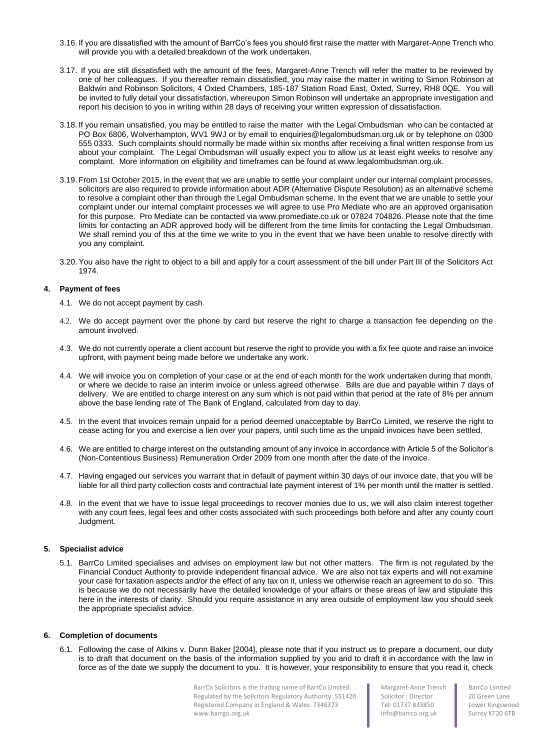- 3.16. If you are dissatisfied with the amount of BarrCo's fees you should first raise the matter with Margaret-Anne Trench who will provide you with a detailed breakdown of the work undertaken.
- 3.17. If you are still dissatisfied with the amount of the fees, Margaret-Anne Trench will refer the matter to be reviewed by one of her colleagues. If you thereafter remain dissatisfied, you may raise the matter in writing to Simon Robinson at Baldwin and Robinson Solicitors, 4 Oxted Chambers, 185-187 Station Road East, Oxted, Surrey, RH8 0QE. You will be invited to fully detail your dissatisfaction, whereupon Simon Robinson will undertake an appropriate investigation and report his decision to you in writing within 28 days of receiving your written expression of dissatisfaction.
- 3.18. If you remain unsatisfied, you may be entitled to raise the matter with the Legal Ombudsman who can be contacted at PO Box 6806, Wolverhampton, WV1 9WJ or by email to enquiries@legalombudsman.org.uk or by telephone on 0300 555 0333. Such complaints should normally be made within six months after receiving a final written response from us about your complaint. The Legal Ombudsman will usually expect you to allow us at least eight weeks to resolve any complaint. More information on eligibility and timeframes can be found at www.legalombudsman.org.uk.
- 3.19. From 1st October 2015, in the event that we are unable to settle your complaint under our internal complaint processes, solicitors are also required to provide information about ADR (Alternative Dispute Resolution) as an alternative scheme to resolve a complaint other than through the Legal Ombudsman scheme. In the event that we are unable to settle your complaint under our internal complaint processes we will agree to use Pro Mediate who are an approved organisation for this purpose. Pro Mediate can be contacted via www.promediate.co.uk or 07824 704826. Please note that the time limits for contacting an ADR approved body will be different from the time limits for contacting the Legal Ombudsman. We shall remind you of this at the time we write to you in the event that we have been unable to resolve directly with you any complaint.
- 3.20.You also have the right to object to a bill and apply for a court assessment of the bill under Part III of the Solicitors Act 1974.

# **4. Payment of fees**

- 4.1. We do not accept payment by cash.
- 4.2. We do accept payment over the phone by card but reserve the right to charge a transaction fee depending on the amount involved.
- 4.3. We do not currently operate a client account but reserve the right to provide you with a fix fee quote and raise an invoice upfront, with payment being made before we undertake any work.
- 4.4. We will invoice you on completion of your case or at the end of each month for the work undertaken during that month, or where we decide to raise an interim invoice or unless agreed otherwise. Bills are due and payable within 7 days of delivery. We are entitled to charge interest on any sum which is not paid within that period at the rate of 8% per annum above the base lending rate of The Bank of England, calculated from day to day.
- 4.5. In the event that invoices remain unpaid for a period deemed unacceptable by BarrCo Limited, we reserve the right to cease acting for you and exercise a lien over your papers, until such time as the unpaid invoices have been settled.
- 4.6. We are entitled to charge interest on the outstanding amount of any invoice in accordance with Article 5 of the Solicitor's (Non-Contentious Business) Remuneration Order 2009 from one month after the date of the invoice.
- 4.7. Having engaged our services you warrant that in default of payment within 30 days of our invoice date, that you will be liable for all third party collection costs and contractual late payment interest of 1% per month until the matter is settled.
- 4.8. In the event that we have to issue legal proceedings to recover monies due to us, we will also claim interest together with any court fees, legal fees and other costs associated with such proceedings both before and after any county court Judgment.

# **5. Specialist advice**

5.1. BarrCo Limited specialises and advises on employment law but not other matters. The firm is not regulated by the Financial Conduct Authority to provide independent financial advice. We are also not tax experts and will not examine your case for taxation aspects and/or the effect of any tax on it, unless we otherwise reach an agreement to do so. This is because we do not necessarily have the detailed knowledge of your affairs or these areas of law and stipulate this here in the interests of clarity. Should you require assistance in any area outside of employment law you should seek the appropriate specialist advice.

# **6. Completion of documents**

6.1. Following the case of Atkins v. Dunn Baker [2004], please note that if you instruct us to prepare a document, our duty is to draft that document on the basis of the information supplied by you and to draft it in accordance with the law in force as of the date we supply the document to you. It is however, your responsibility to ensure that you read it, check

> BarrCo Solicitors is the trading name of BarrCo Limited. Regulated by the Solicitors Regulatory Authority: 551420. Registered Company in England & Wales: 7346373 www.barrgo.org.uk

Margaret-Anne Trench Solicitor : Director Tel: 01737 833850 info@barrco.org.uk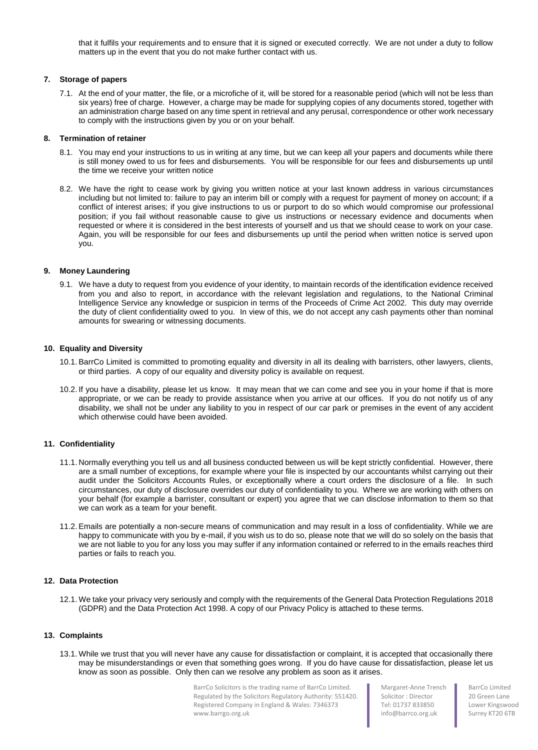that it fulfils your requirements and to ensure that it is signed or executed correctly. We are not under a duty to follow matters up in the event that you do not make further contact with us.

# **7. Storage of papers**

7.1. At the end of your matter, the file, or a microfiche of it, will be stored for a reasonable period (which will not be less than six years) free of charge. However, a charge may be made for supplying copies of any documents stored, together with an administration charge based on any time spent in retrieval and any perusal, correspondence or other work necessary to comply with the instructions given by you or on your behalf.

## **8. Termination of retainer**

- 8.1. You may end your instructions to us in writing at any time, but we can keep all your papers and documents while there is still money owed to us for fees and disbursements. You will be responsible for our fees and disbursements up until the time we receive your written notice
- 8.2. We have the right to cease work by giving you written notice at your last known address in various circumstances including but not limited to: failure to pay an interim bill or comply with a request for payment of money on account; if a conflict of interest arises; if you give instructions to us or purport to do so which would compromise our professional position; if you fail without reasonable cause to give us instructions or necessary evidence and documents when requested or where it is considered in the best interests of yourself and us that we should cease to work on your case. Again, you will be responsible for our fees and disbursements up until the period when written notice is served upon you.

## **9. Money Laundering**

9.1. We have a duty to request from you evidence of your identity, to maintain records of the identification evidence received from you and also to report, in accordance with the relevant legislation and regulations, to the National Criminal Intelligence Service any knowledge or suspicion in terms of the Proceeds of Crime Act 2002. This duty may override the duty of client confidentiality owed to you. In view of this, we do not accept any cash payments other than nominal amounts for swearing or witnessing documents.

# **10. Equality and Diversity**

- 10.1.BarrCo Limited is committed to promoting equality and diversity in all its dealing with barristers, other lawyers, clients, or third parties. A copy of our equality and diversity policy is available on request.
- 10.2. If you have a disability, please let us know. It may mean that we can come and see you in your home if that is more appropriate, or we can be ready to provide assistance when you arrive at our offices. If you do not notify us of any disability, we shall not be under any liability to you in respect of our car park or premises in the event of any accident which otherwise could have been avoided.

# **11. Confidentiality**

- 11.1. Normally everything you tell us and all business conducted between us will be kept strictly confidential. However, there are a small number of exceptions, for example where your file is inspected by our accountants whilst carrying out their audit under the Solicitors Accounts Rules, or exceptionally where a court orders the disclosure of a file. In such circumstances, our duty of disclosure overrides our duty of confidentiality to you. Where we are working with others on your behalf (for example a barrister, consultant or expert) you agree that we can disclose information to them so that we can work as a team for your benefit.
- 11.2.Emails are potentially a non-secure means of communication and may result in a loss of confidentiality. While we are happy to communicate with you by e-mail, if you wish us to do so, please note that we will do so solely on the basis that we are not liable to you for any loss you may suffer if any information contained or referred to in the emails reaches third parties or fails to reach you.

# **12. Data Protection**

12.1. We take your privacy very seriously and comply with the requirements of the General Data Protection Regulations 2018 (GDPR) and the Data Protection Act 1998. A copy of our Privacy Policy is attached to these terms.

#### **13. Complaints**

13.1. While we trust that you will never have any cause for dissatisfaction or complaint, it is accepted that occasionally there may be misunderstandings or even that something goes wrong. If you do have cause for dissatisfaction, please let us know as soon as possible. Only then can we resolve any problem as soon as it arises.

> BarrCo Solicitors is the trading name of BarrCo Limited. Regulated by the Solicitors Regulatory Authority: 551420. Registered Company in England & Wales: 7346373 www.barrgo.org.uk

Margaret-Anne Trench Solicitor : Director Tel: 01737 833850 info@barrco.org.uk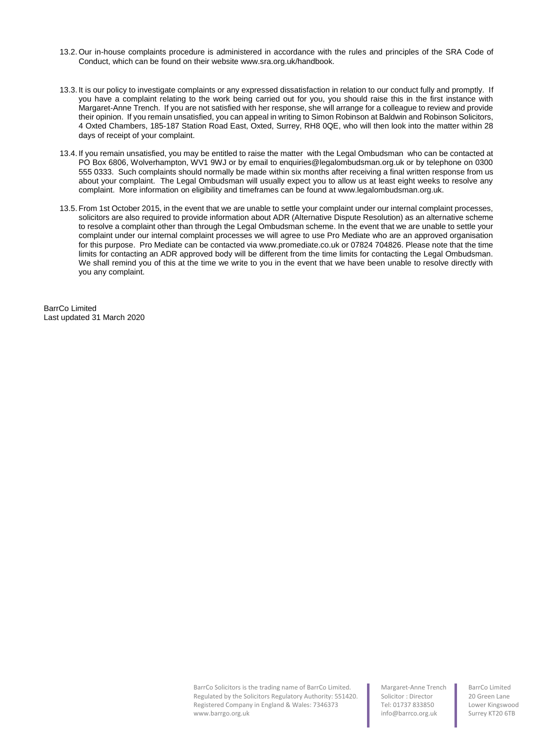- 13.2. Our in-house complaints procedure is administered in accordance with the rules and principles of the SRA Code of Conduct, which can be found on their website www.sra.org.uk/handbook.
- 13.3. It is our policy to investigate complaints or any expressed dissatisfaction in relation to our conduct fully and promptly. If you have a complaint relating to the work being carried out for you, you should raise this in the first instance with Margaret-Anne Trench. If you are not satisfied with her response, she will arrange for a colleague to review and provide their opinion. If you remain unsatisfied, you can appeal in writing to Simon Robinson at Baldwin and Robinson Solicitors, 4 Oxted Chambers, 185-187 Station Road East, Oxted, Surrey, RH8 0QE, who will then look into the matter within 28 days of receipt of your complaint.
- 13.4. If you remain unsatisfied, you may be entitled to raise the matter with the Legal Ombudsman who can be contacted at PO Box 6806, Wolverhampton, WV1 9WJ or by email to enquiries@legalombudsman.org.uk or by telephone on 0300 555 0333. Such complaints should normally be made within six months after receiving a final written response from us about your complaint. The Legal Ombudsman will usually expect you to allow us at least eight weeks to resolve any complaint. More information on eligibility and timeframes can be found at www.legalombudsman.org.uk.
- 13.5. From 1st October 2015, in the event that we are unable to settle your complaint under our internal complaint processes, solicitors are also required to provide information about ADR (Alternative Dispute Resolution) as an alternative scheme to resolve a complaint other than through the Legal Ombudsman scheme. In the event that we are unable to settle your complaint under our internal complaint processes we will agree to use Pro Mediate who are an approved organisation for this purpose. Pro Mediate can be contacted via www.promediate.co.uk or 07824 704826. Please note that the time limits for contacting an ADR approved body will be different from the time limits for contacting the Legal Ombudsman. We shall remind you of this at the time we write to you in the event that we have been unable to resolve directly with you any complaint.

BarrCo Limited Last updated 31 March 2020

> BarrCo Solicitors is the trading name of BarrCo Limited. Regulated by the Solicitors Regulatory Authority: 551420. Registered Company in England & Wales: 7346373 www.barrgo.org.uk

Margaret-Anne Trench Solicitor : Director Tel: 01737 833850 info@barrco.org.uk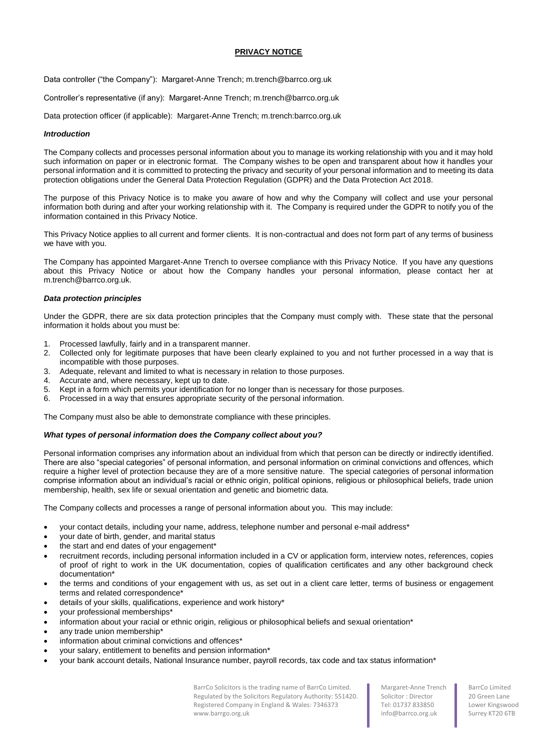# **PRIVACY NOTICE**

Data controller ("the Company"): Margaret-Anne Trench; m.trench@barrco.org.uk

Controller's representative (if any): Margaret-Anne Trench; m.trench@barrco.org.uk

Data protection officer (if applicable): Margaret-Anne Trench; m.trench:barrco.org.uk

# *Introduction*

The Company collects and processes personal information about you to manage its working relationship with you and it may hold such information on paper or in electronic format. The Company wishes to be open and transparent about how it handles your personal information and it is committed to protecting the privacy and security of your personal information and to meeting its data protection obligations under the General Data Protection Regulation (GDPR) and the Data Protection Act 2018.

The purpose of this Privacy Notice is to make you aware of how and why the Company will collect and use your personal information both during and after your working relationship with it. The Company is required under the GDPR to notify you of the information contained in this Privacy Notice.

This Privacy Notice applies to all current and former clients. It is non-contractual and does not form part of any terms of business we have with you.

The Company has appointed Margaret-Anne Trench to oversee compliance with this Privacy Notice. If you have any questions about this Privacy Notice or about how the Company handles your personal information, please contact her at m.trench@barrco.org.uk.

# *Data protection principles*

Under the GDPR, there are six data protection principles that the Company must comply with. These state that the personal information it holds about you must be:

- 1. Processed lawfully, fairly and in a transparent manner.
- 2. Collected only for legitimate purposes that have been clearly explained to you and not further processed in a way that is incompatible with those purposes.
- 3. Adequate, relevant and limited to what is necessary in relation to those purposes.
- 4. Accurate and, where necessary, kept up to date.
- 5. Kept in a form which permits your identification for no longer than is necessary for those purposes.
- 6. Processed in a way that ensures appropriate security of the personal information.

The Company must also be able to demonstrate compliance with these principles.

# *What types of personal information does the Company collect about you?*

Personal information comprises any information about an individual from which that person can be directly or indirectly identified. There are also "special categories" of personal information, and personal information on criminal convictions and offences, which require a higher level of protection because they are of a more sensitive nature. The special categories of personal information comprise information about an individual's racial or ethnic origin, political opinions, religious or philosophical beliefs, trade union membership, health, sex life or sexual orientation and genetic and biometric data.

The Company collects and processes a range of personal information about you. This may include:

- your contact details, including your name, address, telephone number and personal e-mail address\*
- your date of birth, gender, and marital status
- the start and end dates of your engagement\*
- recruitment records, including personal information included in a CV or application form, interview notes, references, copies of proof of right to work in the UK documentation, copies of qualification certificates and any other background check documentation\*
- the terms and conditions of your engagement with us, as set out in a client care letter, terms of business or engagement terms and related correspondence\*
- details of your skills, qualifications, experience and work history\*
- your professional memberships\*
- information about your racial or ethnic origin, religious or philosophical beliefs and sexual orientation\*
- any trade union membership\*
- information about criminal convictions and offences\*
- your salary, entitlement to benefits and pension information\*
- your bank account details, National Insurance number, payroll records, tax code and tax status information\*

BarrCo Solicitors is the trading name of BarrCo Limited. Regulated by the Solicitors Regulatory Authority: 551420. Registered Company in England & Wales: 7346373 www.barrgo.org.uk

Margaret-Anne Trench Solicitor : Director Tel: 01737 833850 info@barrco.org.uk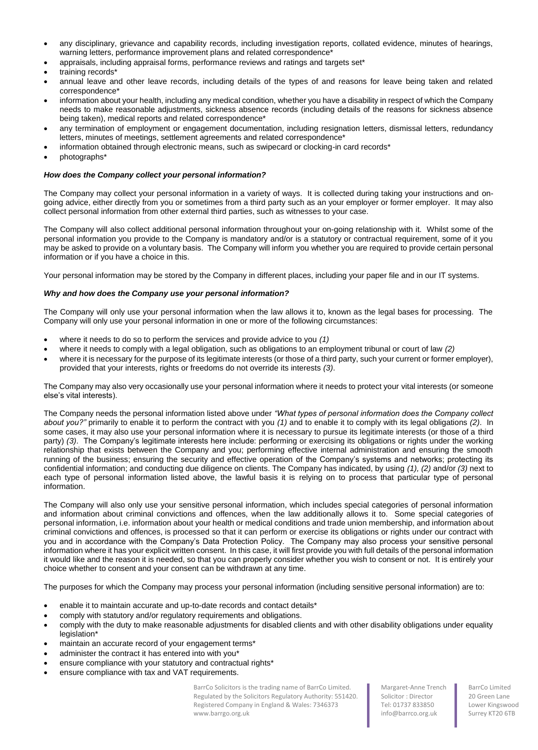- any disciplinary, grievance and capability records, including investigation reports, collated evidence, minutes of hearings, warning letters, performance improvement plans and related correspondence<sup>\*</sup>
- appraisals, including appraisal forms, performance reviews and ratings and targets set\*
- training records\*
- annual leave and other leave records, including details of the types of and reasons for leave being taken and related correspondence\*
- information about your health, including any medical condition, whether you have a disability in respect of which the Company needs to make reasonable adjustments, sickness absence records (including details of the reasons for sickness absence being taken), medical reports and related correspondence\*
- any termination of employment or engagement documentation, including resignation letters, dismissal letters, redundancy letters, minutes of meetings, settlement agreements and related correspondence\*
- information obtained through electronic means, such as swipecard or clocking-in card records\*
- photographs\*

# *How does the Company collect your personal information?*

The Company may collect your personal information in a variety of ways. It is collected during taking your instructions and ongoing advice, either directly from you or sometimes from a third party such as an your employer or former employer. It may also collect personal information from other external third parties, such as witnesses to your case.

The Company will also collect additional personal information throughout your on-going relationship with it. Whilst some of the personal information you provide to the Company is mandatory and/or is a statutory or contractual requirement, some of it you may be asked to provide on a voluntary basis. The Company will inform you whether you are required to provide certain personal information or if you have a choice in this.

Your personal information may be stored by the Company in different places, including your paper file and in our IT systems.

# *Why and how does the Company use your personal information?*

The Company will only use your personal information when the law allows it to, known as the legal bases for processing. The Company will only use your personal information in one or more of the following circumstances:

- where it needs to do so to perform the services and provide advice to you *(1)*
- where it needs to comply with a legal obligation, such as obligations to an employment tribunal or court of law *(2)*
- where it is necessary for the purpose of its legitimate interests (or those of a third party, such your current or former employer), provided that your interests, rights or freedoms do not override its interests *(3)*.

The Company may also very occasionally use your personal information where it needs to protect your vital interests (or someone else's vital interests).

The Company needs the personal information listed above under *"What types of personal information does the Company collect about you?"* primarily to enable it to perform the contract with you *(1)* and to enable it to comply with its legal obligations *(2)*. In some cases, it may also use your personal information where it is necessary to pursue its legitimate interests (or those of a third party) (3). The Company's legitimate interests here include: performing or exercising its obligations or rights under the working relationship that exists between the Company and you; performing effective internal administration and ensuring the smooth running of the business; ensuring the security and effective operation of the Company's systems and networks; protecting its confidential information; and conducting due diligence on clients. The Company has indicated, by using *(1), (2)* and/or *(3)* next to each type of personal information listed above, the lawful basis it is relying on to process that particular type of personal information.

The Company will also only use your sensitive personal information, which includes special categories of personal information and information about criminal convictions and offences, when the law additionally allows it to. Some special categories of personal information, i.e. information about your health or medical conditions and trade union membership, and information about criminal convictions and offences, is processed so that it can perform or exercise its obligations or rights under our contract with you and in accordance with the Company's Data Protection Policy. The Company may also process your sensitive personal information where it has your explicit written consent. In this case, it will first provide you with full details of the personal information it would like and the reason it is needed, so that you can properly consider whether you wish to consent or not. It is entirely your choice whether to consent and your consent can be withdrawn at any time.

The purposes for which the Company may process your personal information (including sensitive personal information) are to:

- enable it to maintain accurate and up-to-date records and contact details\*
- comply with statutory and/or regulatory requirements and obligations.
- comply with the duty to make reasonable adjustments for disabled clients and with other disability obligations under equality legislation\*
- maintain an accurate record of your engagement terms\*
- administer the contract it has entered into with you\*
- ensure compliance with your statutory and contractual rights\*
- ensure compliance with tax and VAT requirements.

BarrCo Solicitors is the trading name of BarrCo Limited. Regulated by the Solicitors Regulatory Authority: 551420. Registered Company in England & Wales: 7346373 www.barrgo.org.uk

Margaret-Anne Trench Solicitor : Director Tel: 01737 833850 info@barrco.org.uk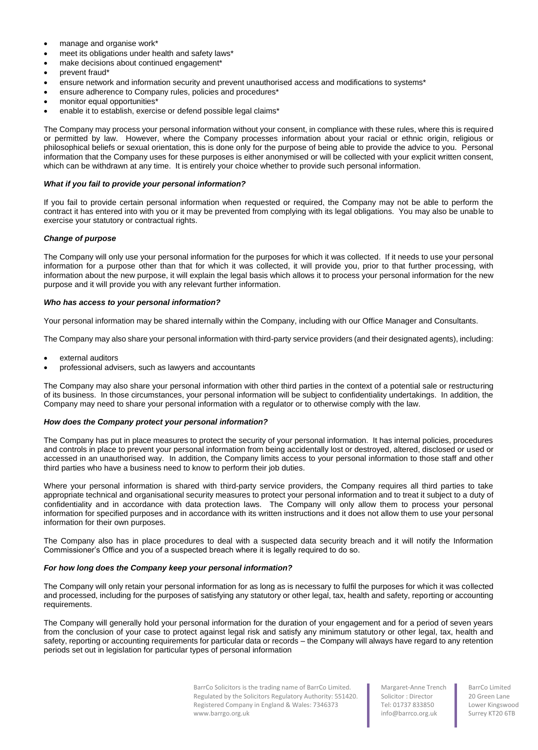- manage and organise work\*
- meet its obligations under health and safety laws\*
- make decisions about continued engagement\*
- prevent fraud\*
- ensure network and information security and prevent unauthorised access and modifications to systems\*
- ensure adherence to Company rules, policies and procedures\*
- monitor equal opportunities\*
- enable it to establish, exercise or defend possible legal claims\*

The Company may process your personal information without your consent, in compliance with these rules, where this is required or permitted by law. However, where the Company processes information about your racial or ethnic origin, religious or philosophical beliefs or sexual orientation, this is done only for the purpose of being able to provide the advice to you. Personal information that the Company uses for these purposes is either anonymised or will be collected with your explicit written consent, which can be withdrawn at any time. It is entirely your choice whether to provide such personal information.

## *What if you fail to provide your personal information?*

If you fail to provide certain personal information when requested or required, the Company may not be able to perform the contract it has entered into with you or it may be prevented from complying with its legal obligations. You may also be unable to exercise your statutory or contractual rights.

## *Change of purpose*

The Company will only use your personal information for the purposes for which it was collected. If it needs to use your personal information for a purpose other than that for which it was collected, it will provide you, prior to that further processing, with information about the new purpose, it will explain the legal basis which allows it to process your personal information for the new purpose and it will provide you with any relevant further information.

#### *Who has access to your personal information?*

Your personal information may be shared internally within the Company, including with our Office Manager and Consultants.

The Company may also share your personal information with third-party service providers (and their designated agents), including:

- external auditors
- professional advisers, such as lawyers and accountants

The Company may also share your personal information with other third parties in the context of a potential sale or restructuring of its business. In those circumstances, your personal information will be subject to confidentiality undertakings. In addition, the Company may need to share your personal information with a regulator or to otherwise comply with the law.

#### *How does the Company protect your personal information?*

The Company has put in place measures to protect the security of your personal information. It has internal policies, procedures and controls in place to prevent your personal information from being accidentally lost or destroyed, altered, disclosed or used or accessed in an unauthorised way. In addition, the Company limits access to your personal information to those staff and other third parties who have a business need to know to perform their job duties.

Where your personal information is shared with third-party service providers, the Company requires all third parties to take appropriate technical and organisational security measures to protect your personal information and to treat it subject to a duty of confidentiality and in accordance with data protection laws. The Company will only allow them to process your personal information for specified purposes and in accordance with its written instructions and it does not allow them to use your personal information for their own purposes.

The Company also has in place procedures to deal with a suspected data security breach and it will notify the Information Commissioner's Office and you of a suspected breach where it is legally required to do so.

## *For how long does the Company keep your personal information?*

The Company will only retain your personal information for as long as is necessary to fulfil the purposes for which it was collected and processed, including for the purposes of satisfying any statutory or other legal, tax, health and safety, reporting or accounting requirements.

The Company will generally hold your personal information for the duration of your engagement and for a period of seven years from the conclusion of your case to protect against legal risk and satisfy any minimum statutory or other legal, tax, health and safety, reporting or accounting requirements for particular data or records – the Company will always have regard to any retention periods set out in legislation for particular types of personal information

> BarrCo Solicitors is the trading name of BarrCo Limited. Regulated by the Solicitors Regulatory Authority: 551420. Registered Company in England & Wales: 7346373 www.barrgo.org.uk

Margaret-Anne Trench Solicitor : Director Tel: 01737 833850 info@barrco.org.uk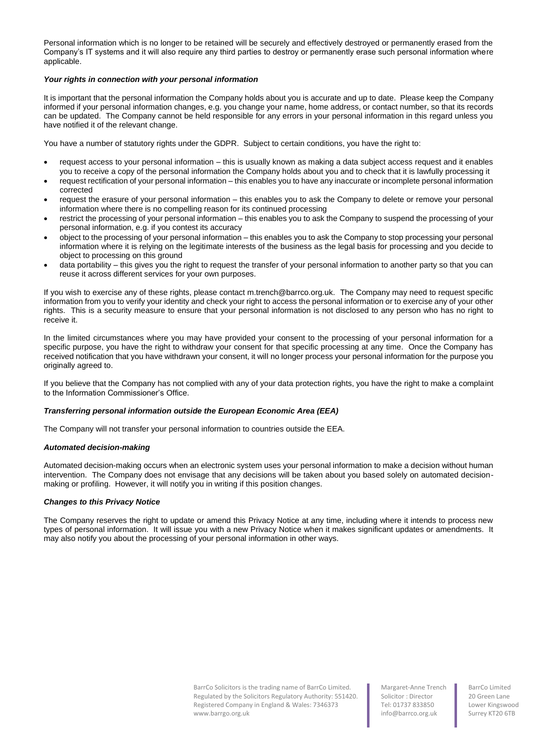Personal information which is no longer to be retained will be securely and effectively destroyed or permanently erased from the Company's IT systems and it will also require any third parties to destroy or permanently erase such personal information where applicable.

# *Your rights in connection with your personal information*

It is important that the personal information the Company holds about you is accurate and up to date. Please keep the Company informed if your personal information changes, e.g. you change your name, home address, or contact number, so that its records can be updated. The Company cannot be held responsible for any errors in your personal information in this regard unless you have notified it of the relevant change.

You have a number of statutory rights under the GDPR. Subject to certain conditions, you have the right to:

- request access to your personal information this is usually known as making a data subject access request and it enables you to receive a copy of the personal information the Company holds about you and to check that it is lawfully processing it
- request rectification of your personal information this enables you to have any inaccurate or incomplete personal information corrected
- request the erasure of your personal information this enables you to ask the Company to delete or remove your personal information where there is no compelling reason for its continued processing
- restrict the processing of your personal information this enables you to ask the Company to suspend the processing of your personal information, e.g. if you contest its accuracy
- object to the processing of your personal information this enables you to ask the Company to stop processing your personal information where it is relying on the legitimate interests of the business as the legal basis for processing and you decide to object to processing on this ground
- data portability this gives you the right to request the transfer of your personal information to another party so that you can reuse it across different services for your own purposes.

If you wish to exercise any of these rights, please contact m.trench@barrco.org.uk*.* The Company may need to request specific information from you to verify your identity and check your right to access the personal information or to exercise any of your other rights. This is a security measure to ensure that your personal information is not disclosed to any person who has no right to receive it.

In the limited circumstances where you may have provided your consent to the processing of your personal information for a specific purpose, you have the right to withdraw your consent for that specific processing at any time. Once the Company has received notification that you have withdrawn your consent, it will no longer process your personal information for the purpose you originally agreed to.

If you believe that the Company has not complied with any of your data protection rights, you have the right to make a complaint to the Information Commissioner's Office.

# *Transferring personal information outside the European Economic Area (EEA)*

The Company will not transfer your personal information to countries outside the EEA.

# *Automated decision-making*

Automated decision-making occurs when an electronic system uses your personal information to make a decision without human intervention. The Company does not envisage that any decisions will be taken about you based solely on automated decisionmaking or profiling. However, it will notify you in writing if this position changes.

# *Changes to this Privacy Notice*

The Company reserves the right to update or amend this Privacy Notice at any time, including where it intends to process new types of personal information. It will issue you with a new Privacy Notice when it makes significant updates or amendments. It may also notify you about the processing of your personal information in other ways.

> BarrCo Solicitors is the trading name of BarrCo Limited. Regulated by the Solicitors Regulatory Authority: 551420. Registered Company in England & Wales: 7346373 www.barrgo.org.uk

Margaret-Anne Trench Solicitor : Director Tel: 01737 833850 info@barrco.org.uk